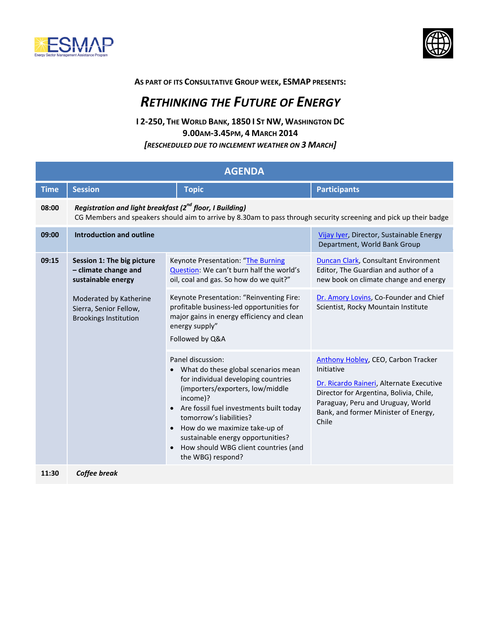



## **AS PART OF ITS CONSULTATIVE GROUP WEEK, ESMAP PRESENTS:**

## *RETHINKING THE FUTURE OF ENERGY*

**I 2-250, THE WORLD BANK, 1850 I ST NW, WASHINGTON DC 9.00AM-3.45PM, 4 MARCH 2014** *[RESCHEDULED DUE TO INCLEMENT WEATHER ON 3 MARCH]*

| <b>AGENDA</b> |                                                                                                                                                                                           |                                                                                                                                                                                                                                                                                                                                                                                                              |                                                                                                                                                                                                                                |  |  |
|---------------|-------------------------------------------------------------------------------------------------------------------------------------------------------------------------------------------|--------------------------------------------------------------------------------------------------------------------------------------------------------------------------------------------------------------------------------------------------------------------------------------------------------------------------------------------------------------------------------------------------------------|--------------------------------------------------------------------------------------------------------------------------------------------------------------------------------------------------------------------------------|--|--|
| <b>Time</b>   | <b>Session</b>                                                                                                                                                                            | <b>Topic</b>                                                                                                                                                                                                                                                                                                                                                                                                 | <b>Participants</b>                                                                                                                                                                                                            |  |  |
| 08:00         | Registration and light breakfast (2 <sup>nd</sup> floor, I Building)<br>CG Members and speakers should aim to arrive by 8.30am to pass through security screening and pick up their badge |                                                                                                                                                                                                                                                                                                                                                                                                              |                                                                                                                                                                                                                                |  |  |
| 09:00         | <b>Introduction and outline</b>                                                                                                                                                           |                                                                                                                                                                                                                                                                                                                                                                                                              | Vijay Iyer, Director, Sustainable Energy<br>Department, World Bank Group                                                                                                                                                       |  |  |
| 09:15         | Session 1: The big picture<br>- climate change and<br>sustainable energy                                                                                                                  | Keynote Presentation: "The Burning<br>Question: We can't burn half the world's<br>oil, coal and gas. So how do we quit?"                                                                                                                                                                                                                                                                                     | Duncan Clark, Consultant Environment<br>Editor, The Guardian and author of a<br>new book on climate change and energy                                                                                                          |  |  |
|               | Moderated by Katherine<br>Sierra, Senior Fellow,<br><b>Brookings Institution</b>                                                                                                          | Keynote Presentation: "Reinventing Fire:<br>profitable business-led opportunities for<br>major gains in energy efficiency and clean<br>energy supply"<br>Followed by Q&A                                                                                                                                                                                                                                     | Dr. Amory Lovins, Co-Founder and Chief<br>Scientist, Rocky Mountain Institute                                                                                                                                                  |  |  |
|               |                                                                                                                                                                                           | Panel discussion:<br>What do these global scenarios mean<br>$\bullet$<br>for individual developing countries<br>(importers/exporters, low/middle<br>income)?<br>Are fossil fuel investments built today<br>$\bullet$<br>tomorrow's liabilities?<br>How do we maximize take-up of<br>$\bullet$<br>sustainable energy opportunities?<br>How should WBG client countries (and<br>$\bullet$<br>the WBG) respond? | Anthony Hobley, CEO, Carbon Tracker<br>Initiative<br>Dr. Ricardo Raineri, Alternate Executive<br>Director for Argentina, Bolivia, Chile,<br>Paraguay, Peru and Uruguay, World<br>Bank, and former Minister of Energy,<br>Chile |  |  |
| 11:30         | Coffee break                                                                                                                                                                              |                                                                                                                                                                                                                                                                                                                                                                                                              |                                                                                                                                                                                                                                |  |  |